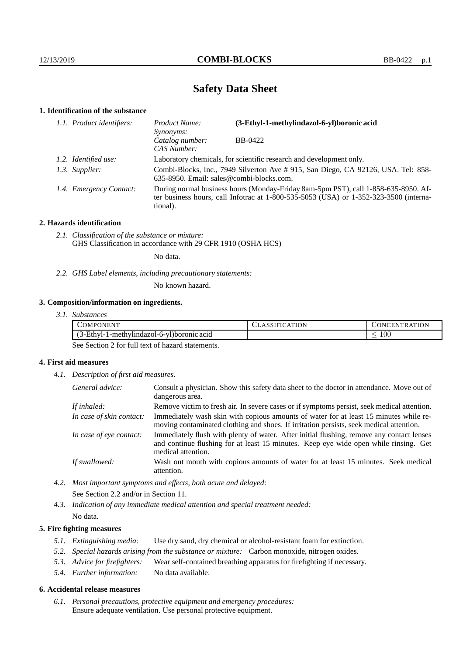# **Safety Data Sheet**

### **1. Identification of the substance**

| 1.1. Product identifiers: |                         | Product Name:<br>Synonyms:                                                                                                                                                                  | (3-Ethyl-1-methylindazol-6-yl)boronic acid |  |
|---------------------------|-------------------------|---------------------------------------------------------------------------------------------------------------------------------------------------------------------------------------------|--------------------------------------------|--|
|                           |                         | Catalog number:<br>CAS Number:                                                                                                                                                              | BB-0422                                    |  |
|                           | 1.2. Identified use:    | Laboratory chemicals, for scientific research and development only.                                                                                                                         |                                            |  |
|                           | 1.3. Supplier:          | Combi-Blocks, Inc., 7949 Silverton Ave #915, San Diego, CA 92126, USA. Tel: 858-<br>635-8950. Email: sales@combi-blocks.com.                                                                |                                            |  |
|                           | 1.4. Emergency Contact: | During normal business hours (Monday-Friday 8am-5pm PST), call 1-858-635-8950. Af-<br>ter business hours, call Infotrac at $1-800-535-5053$ (USA) or $1-352-323-3500$ (interna-<br>tional). |                                            |  |

#### **2. Hazards identification**

*2.1. Classification of the substance or mixture:* GHS Classification in accordance with 29 CFR 1910 (OSHA HCS)

No data.

*2.2. GHS Label elements, including precautionary statements:*

No known hazard.

# **3. Composition/information on ingredients.**

| 77377<br>OMPC<br>.)NEN'                                          | <b>TION</b><br>$\mathbf{A}$<br>.<br>$\sim$ | ATITON<br>.EN<br>. ) N'<br>тк |
|------------------------------------------------------------------|--------------------------------------------|-------------------------------|
| $1 \times 1$<br>3-Ethyl-1-methylindazol-6-yl)boronic acid<br>. . |                                            | $100\,$<br>_                  |

See Section 2 for full text of hazard statements.

# **4. First aid measures**

*4.1. Description of first aid measures.*

| General advice:          | Consult a physician. Show this safety data sheet to the doctor in attendance. Move out of<br>dangerous area.                                                                                            |
|--------------------------|---------------------------------------------------------------------------------------------------------------------------------------------------------------------------------------------------------|
| If inhaled:              | Remove victim to fresh air. In severe cases or if symptoms persist, seek medical attention.                                                                                                             |
| In case of skin contact: | Immediately wash skin with copious amounts of water for at least 15 minutes while re-<br>moving contaminated clothing and shoes. If irritation persists, seek medical attention.                        |
| In case of eye contact:  | Immediately flush with plenty of water. After initial flushing, remove any contact lenses<br>and continue flushing for at least 15 minutes. Keep eye wide open while rinsing. Get<br>medical attention. |
| If swallowed:            | Wash out mouth with copious amounts of water for at least 15 minutes. Seek medical<br>attention.                                                                                                        |

*4.2. Most important symptoms and effects, both acute and delayed:* See Section 2.2 and/or in Section 11.

*4.3. Indication of any immediate medical attention and special treatment needed:* No data.

#### **5. Fire fighting measures**

- *5.1. Extinguishing media:* Use dry sand, dry chemical or alcohol-resistant foam for extinction.
- *5.2. Special hazards arising from the substance or mixture:* Carbon monoxide, nitrogen oxides.
- *5.3. Advice for firefighters:* Wear self-contained breathing apparatus for firefighting if necessary.
- *5.4. Further information:* No data available.

#### **6. Accidental release measures**

*6.1. Personal precautions, protective equipment and emergency procedures:* Ensure adequate ventilation. Use personal protective equipment.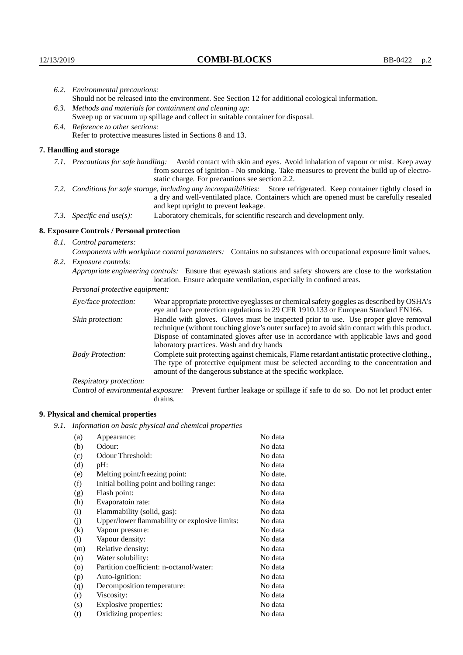|                                   | 6.2. Environmental precautions:                                                                                                                                                                                                                            |                                                                                                                                                                                                                                |  |
|-----------------------------------|------------------------------------------------------------------------------------------------------------------------------------------------------------------------------------------------------------------------------------------------------------|--------------------------------------------------------------------------------------------------------------------------------------------------------------------------------------------------------------------------------|--|
|                                   | Should not be released into the environment. See Section 12 for additional ecological information.                                                                                                                                                         |                                                                                                                                                                                                                                |  |
|                                   | 6.3. Methods and materials for containment and cleaning up:<br>Sweep up or vacuum up spillage and collect in suitable container for disposal.                                                                                                              |                                                                                                                                                                                                                                |  |
| 6.4. Reference to other sections: |                                                                                                                                                                                                                                                            |                                                                                                                                                                                                                                |  |
|                                   | Refer to protective measures listed in Sections 8 and 13.                                                                                                                                                                                                  |                                                                                                                                                                                                                                |  |
|                                   | 7. Handling and storage                                                                                                                                                                                                                                    |                                                                                                                                                                                                                                |  |
|                                   | 7.1. Precautions for safe handling:                                                                                                                                                                                                                        | Avoid contact with skin and eyes. Avoid inhalation of vapour or mist. Keep away<br>from sources of ignition - No smoking. Take measures to prevent the build up of electro-<br>static charge. For precautions see section 2.2. |  |
|                                   | 7.2. Conditions for safe storage, including any incompatibilities: Store refrigerated. Keep container tightly closed in<br>a dry and well-ventilated place. Containers which are opened must be carefully resealed<br>and kept upright to prevent leakage. |                                                                                                                                                                                                                                |  |
|                                   | 7.3. Specific end use(s):                                                                                                                                                                                                                                  | Laboratory chemicals, for scientific research and development only.                                                                                                                                                            |  |
|                                   | 8. Exposure Controls / Personal protection                                                                                                                                                                                                                 |                                                                                                                                                                                                                                |  |
|                                   | 8.1. Control parameters:                                                                                                                                                                                                                                   |                                                                                                                                                                                                                                |  |
|                                   | Components with workplace control parameters: Contains no substances with occupational exposure limit values.                                                                                                                                              |                                                                                                                                                                                                                                |  |
|                                   | 8.2. Exposure controls:                                                                                                                                                                                                                                    |                                                                                                                                                                                                                                |  |
|                                   |                                                                                                                                                                                                                                                            | Appropriate engineering controls: Ensure that eyewash stations and safety showers are close to the workstation<br>location. Ensure adequate ventilation, especially in confined areas.                                         |  |
|                                   | <i>Personal protective equipment:</i>                                                                                                                                                                                                                      |                                                                                                                                                                                                                                |  |
| Eye/face protection:              |                                                                                                                                                                                                                                                            | Wear appropriate protective eyeglasses or chemical safety goggles as described by OSHA's<br>eye and face protection regulations in 29 CFR 1910.133 or European Standard EN166.                                                 |  |
|                                   | Skin protection:                                                                                                                                                                                                                                           | Handle with gloves. Gloves must be inspected prior to use. Use proper glove removal<br>technique (without touching glove's outer surface) to avoid skin contact with this product.                                             |  |

| Eye/face protection:               | Wear appropriate protective eyeglasses or chemical safety goggles as described by OSHA's<br>eye and face protection regulations in 29 CFR 1910.133 or European Standard EN166.                                                                                                                                         |  |  |
|------------------------------------|------------------------------------------------------------------------------------------------------------------------------------------------------------------------------------------------------------------------------------------------------------------------------------------------------------------------|--|--|
| Skin protection:                   | Handle with gloves. Gloves must be inspected prior to use. Use proper glove removal<br>technique (without touching glove's outer surface) to avoid skin contact with this product.<br>Dispose of contaminated gloves after use in accordance with applicable laws and good<br>laboratory practices. Wash and dry hands |  |  |
| <b>Body Protection:</b>            | Complete suit protecting against chemicals, Flame retardant antistatic protective clothing.,<br>The type of protective equipment must be selected according to the concentration and<br>amount of the dangerous substance at the specific workplace.                                                                   |  |  |
| <b>Respiratory protection:</b>     |                                                                                                                                                                                                                                                                                                                        |  |  |
| Control of environmental exposure: | Prevent further leakage or spillage if safe to do so. Do not let product enter<br>drains.                                                                                                                                                                                                                              |  |  |

# **9. Physical and chemical properties**

*9.1. Information on basic physical and chemical properties*

| (a)                | Appearance:                                   | No data  |
|--------------------|-----------------------------------------------|----------|
| (b)                | Odour:                                        | No data  |
| (c)                | Odour Threshold:                              | No data  |
| (d)                | pH:                                           | No data  |
| (e)                | Melting point/freezing point:                 | No date. |
| (f)                | Initial boiling point and boiling range:      | No data  |
| (g)                | Flash point:                                  | No data  |
| (h)                | Evaporatoin rate:                             | No data  |
| (i)                | Flammability (solid, gas):                    | No data  |
| (i)                | Upper/lower flammability or explosive limits: | No data  |
| $\rm(k)$           | Vapour pressure:                              | No data  |
| (1)                | Vapour density:                               | No data  |
| (m)                | Relative density:                             | No data  |
| (n)                | Water solubility:                             | No data  |
| $\left( 0 \right)$ | Partition coefficient: n-octanol/water:       | No data  |
| (p)                | Auto-ignition:                                | No data  |
| (q)                | Decomposition temperature:                    | No data  |
| (r)                | Viscosity:                                    | No data  |
| (s)                | Explosive properties:                         | No data  |
| (t)                | Oxidizing properties:                         | No data  |